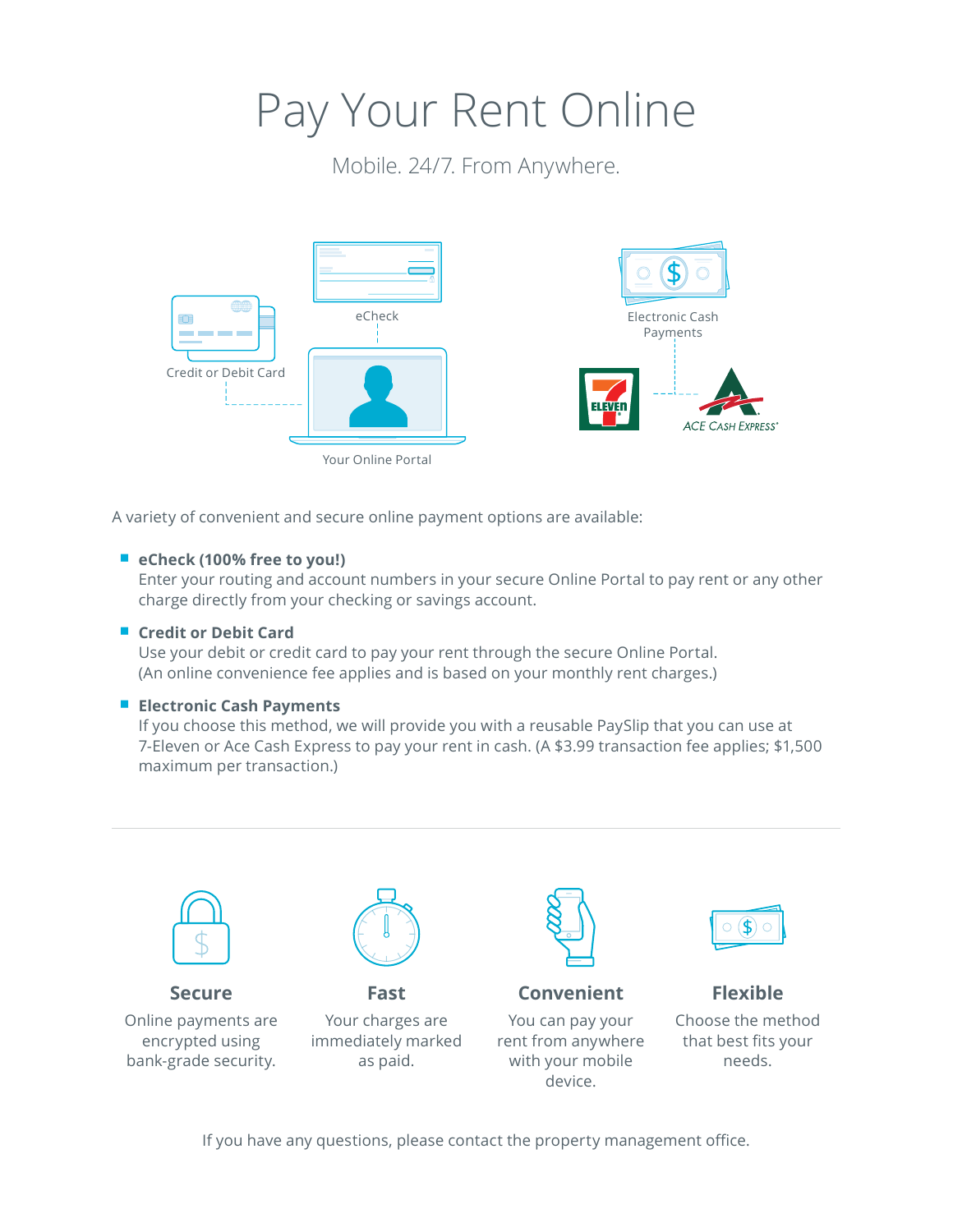# Pay Your Rent Online

Mobile. 24/7. From Anywhere.



A variety of convenient and secure online payment options are available:

### ■ eCheck (100% free to you!)

Enter your routing and account numbers in your secure Online Portal to pay rent or any other charge directly from your checking or savings account.

### ■ Credit or Debit Card

Use your debit or credit card to pay your rent through the secure Online Portal. (An online convenience fee applies and is based on your monthly rent charges.)

### ■ **Electronic Cash Payments**

If you choose this method, we will provide you with a reusable PaySlip that you can use at 7-Eleven or Ace Cash Express to pay your rent in cash. (A \$3.99 transaction fee applies; \$1,500 maximum per transaction.)



If you have any questions, please contact the property management office.